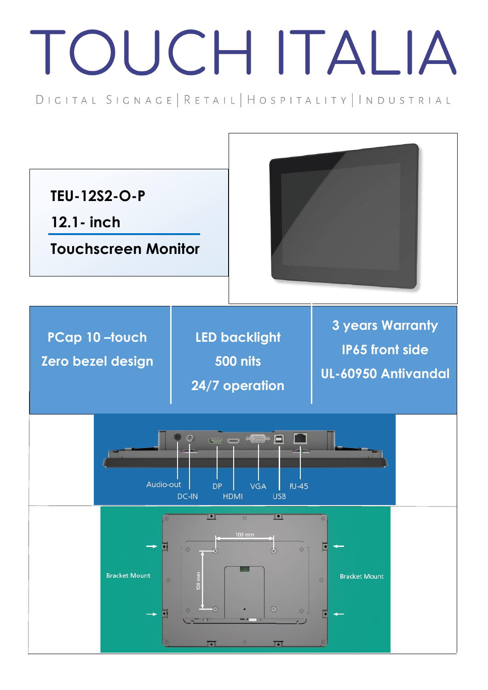## TOUCH ITALIA

DIGITAL SIGNAGE | RETAIL | HOSPITALITY | INDUSTRIAL